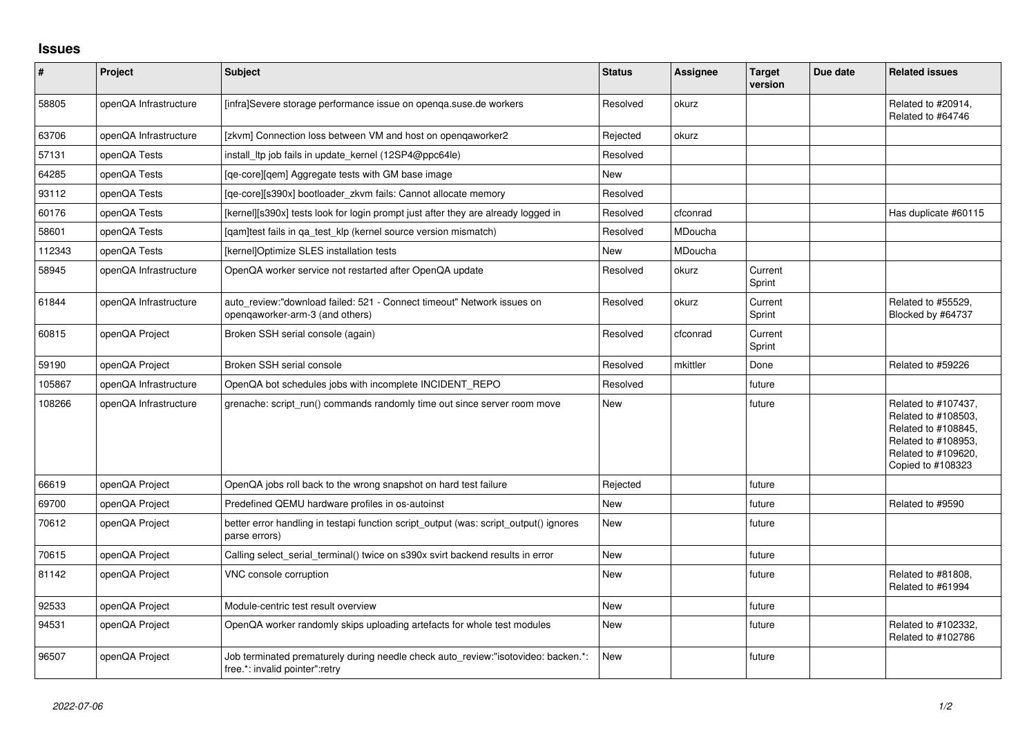## **Issues**

| $\vert$ # | Project               | Subject                                                                                                             | <b>Status</b> | Assignee | <b>Target</b><br>version | Due date | <b>Related issues</b>                                                                                                                |
|-----------|-----------------------|---------------------------------------------------------------------------------------------------------------------|---------------|----------|--------------------------|----------|--------------------------------------------------------------------------------------------------------------------------------------|
| 58805     | openQA Infrastructure | [infra]Severe storage performance issue on openqa.suse.de workers                                                   | Resolved      | okurz    |                          |          | Related to #20914,<br>Related to #64746                                                                                              |
| 63706     | openQA Infrastructure | [zkvm] Connection loss between VM and host on opengaworker2                                                         | Rejected      | okurz    |                          |          |                                                                                                                                      |
| 57131     | openQA Tests          | install_ltp job fails in update_kernel (12SP4@ppc64le)                                                              | Resolved      |          |                          |          |                                                                                                                                      |
| 64285     | openQA Tests          | [ge-core][gem] Aggregate tests with GM base image                                                                   | New           |          |                          |          |                                                                                                                                      |
| 93112     | openQA Tests          | [ge-core][s390x] bootloader zkvm fails: Cannot allocate memory                                                      | Resolved      |          |                          |          |                                                                                                                                      |
| 60176     | openQA Tests          | [kernel][s390x] tests look for login prompt just after they are already logged in                                   | Resolved      | cfconrad |                          |          | Has duplicate #60115                                                                                                                 |
| 58601     | openQA Tests          | [gam]test fails in ga test klp (kernel source version mismatch)                                                     | Resolved      | MDoucha  |                          |          |                                                                                                                                      |
| 112343    | openQA Tests          | [kernel]Optimize SLES installation tests                                                                            | <b>New</b>    | MDoucha  |                          |          |                                                                                                                                      |
| 58945     | openQA Infrastructure | OpenQA worker service not restarted after OpenQA update                                                             | Resolved      | okurz    | Current<br>Sprint        |          |                                                                                                                                      |
| 61844     | openQA Infrastructure | auto review:"download failed: 521 - Connect timeout" Network issues on<br>opengaworker-arm-3 (and others)           | Resolved      | okurz    | Current<br>Sprint        |          | Related to #55529.<br>Blocked by #64737                                                                                              |
| 60815     | openQA Project        | Broken SSH serial console (again)                                                                                   | Resolved      | cfconrad | Current<br>Sprint        |          |                                                                                                                                      |
| 59190     | openQA Project        | Broken SSH serial console                                                                                           | Resolved      | mkittler | Done                     |          | Related to #59226                                                                                                                    |
| 105867    | openQA Infrastructure | OpenQA bot schedules jobs with incomplete INCIDENT REPO                                                             | Resolved      |          | future                   |          |                                                                                                                                      |
| 108266    | openQA Infrastructure | grenache: script run() commands randomly time out since server room move                                            | New           |          | future                   |          | Related to #107437,<br>Related to #108503,<br>Related to #108845,<br>Related to #108953,<br>Related to #109620,<br>Copied to #108323 |
| 66619     | openQA Project        | OpenQA jobs roll back to the wrong snapshot on hard test failure                                                    | Rejected      |          | future                   |          |                                                                                                                                      |
| 69700     | openQA Project        | Predefined QEMU hardware profiles in os-autoinst                                                                    | <b>New</b>    |          | future                   |          | Related to #9590                                                                                                                     |
| 70612     | openQA Project        | better error handling in testapi function script output (was: script output() ignores<br>parse errors)              | New           |          | future                   |          |                                                                                                                                      |
| 70615     | openQA Project        | Calling select_serial_terminal() twice on s390x svirt backend results in error                                      | <b>New</b>    |          | future                   |          |                                                                                                                                      |
| 81142     | openQA Project        | VNC console corruption                                                                                              | New           |          | future                   |          | Related to #81808,<br>Related to #61994                                                                                              |
| 92533     | openQA Project        | Module-centric test result overview                                                                                 | New           |          | future                   |          |                                                                                                                                      |
| 94531     | openQA Project        | OpenQA worker randomly skips uploading artefacts for whole test modules                                             | New           |          | future                   |          | Related to #102332,<br>Related to #102786                                                                                            |
| 96507     | openQA Project        | Job terminated prematurely during needle check auto review:"isotovideo: backen.*:<br>free.*: invalid pointer":retry | New           |          | future                   |          |                                                                                                                                      |